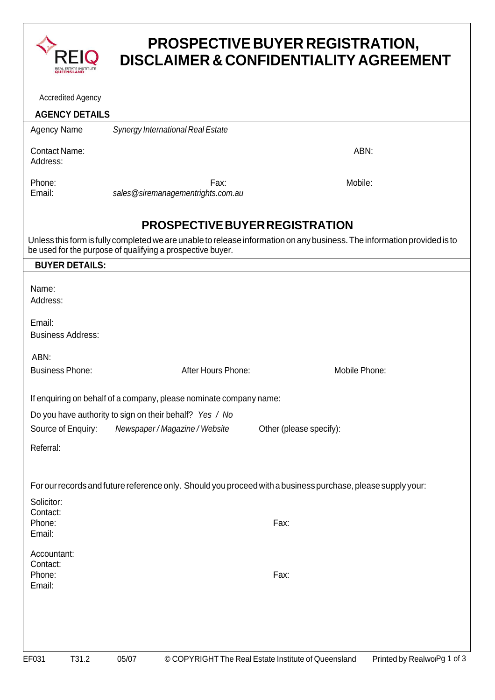

## **PROSPECTIVE BUYER REGISTRATION, DISCLAIMER & CONFIDENTIALITY AGREEMENT**

| <b>Accredited Agency</b> |  |
|--------------------------|--|
|--------------------------|--|

| ACCIEDILED AGELICY                 |       |                                                                    |                                                                                                                          |                             |
|------------------------------------|-------|--------------------------------------------------------------------|--------------------------------------------------------------------------------------------------------------------------|-----------------------------|
| <b>AGENCY DETAILS</b>              |       |                                                                    |                                                                                                                          |                             |
| <b>Agency Name</b>                 |       | <b>Synergy International Real Estate</b>                           |                                                                                                                          |                             |
| <b>Contact Name:</b><br>Address:   |       |                                                                    |                                                                                                                          | ABN:                        |
| Phone:<br>Email:                   |       | Fax:<br>sales @siremanagementrights.com.au                         | Mobile:                                                                                                                  |                             |
|                                    |       |                                                                    | PROSPECTIVE BUYER REGISTRATION                                                                                           |                             |
|                                    |       | be used for the purpose of qualifying a prospective buyer.         | Unless this form is fully completed we are unable to release information on any business. The information provided is to |                             |
| <b>BUYER DETAILS:</b>              |       |                                                                    |                                                                                                                          |                             |
| Name:<br>Address:                  |       |                                                                    |                                                                                                                          |                             |
| Email:<br><b>Business Address:</b> |       |                                                                    |                                                                                                                          |                             |
| ABN:                               |       |                                                                    |                                                                                                                          |                             |
| <b>Business Phone:</b>             |       | After Hours Phone:                                                 | Mobile Phone:                                                                                                            |                             |
|                                    |       | If enquiring on behalf of a company, please nominate company name: |                                                                                                                          |                             |
|                                    |       | Do you have authority to sign on their behalf? Yes / No            |                                                                                                                          |                             |
| Source of Enquiry:                 |       | Newspaper / Magazine / Website                                     | Other (please specify):                                                                                                  |                             |
| Referral:                          |       |                                                                    |                                                                                                                          |                             |
|                                    |       |                                                                    | For our records and future reference only. Should you proceed with a business purchase, please supply your:              |                             |
| Solicitor:                         |       |                                                                    |                                                                                                                          |                             |
| Contact:<br>Phone:<br>Email:       |       |                                                                    | Fax:                                                                                                                     |                             |
| Accountant:<br>Contact:            |       |                                                                    |                                                                                                                          |                             |
| Phone:<br>Email:                   |       |                                                                    | Fax:                                                                                                                     |                             |
|                                    |       |                                                                    |                                                                                                                          |                             |
| T31.2<br>EF031                     | 05/07 |                                                                    | © COPYRIGHT The Real Estate Institute of Queensland                                                                      | Printed by RealwolPg 1 of 3 |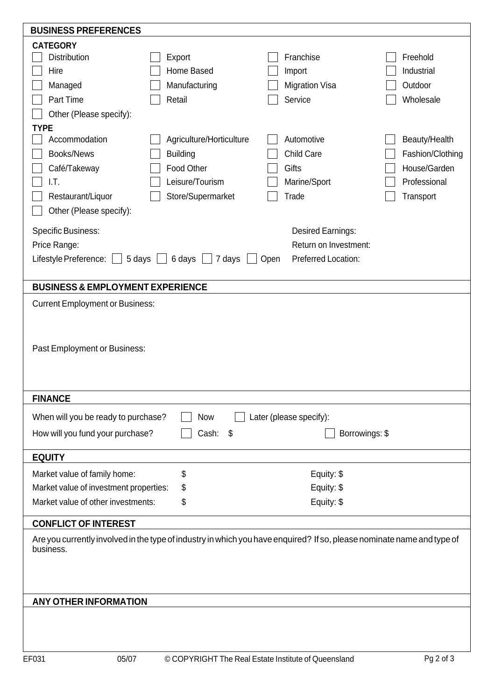| <b>BUSINESS PREFERENCES</b>                                                                                            |                          |                         |                  |  |  |  |
|------------------------------------------------------------------------------------------------------------------------|--------------------------|-------------------------|------------------|--|--|--|
| <b>CATEGORY</b>                                                                                                        |                          |                         |                  |  |  |  |
| <b>Distribution</b>                                                                                                    | Export                   | Franchise               | Freehold         |  |  |  |
| Hire                                                                                                                   | Home Based               | Import                  | Industrial       |  |  |  |
| Managed                                                                                                                | Manufacturing            | <b>Migration Visa</b>   | Outdoor          |  |  |  |
| Part Time                                                                                                              | Retail                   | Service                 | Wholesale        |  |  |  |
| Other (Please specify):                                                                                                |                          |                         |                  |  |  |  |
| <b>TYPE</b>                                                                                                            |                          |                         |                  |  |  |  |
| Accommodation                                                                                                          | Agriculture/Horticulture | Automotive              | Beauty/Health    |  |  |  |
| Books/News                                                                                                             | <b>Building</b>          | <b>Child Care</b>       | Fashion/Clothing |  |  |  |
| Café/Takeway                                                                                                           | Food Other               | Gifts                   | House/Garden     |  |  |  |
| I.T.                                                                                                                   | Leisure/Tourism          | Marine/Sport            | Professional     |  |  |  |
|                                                                                                                        |                          | Trade                   |                  |  |  |  |
| Restaurant/Liquor                                                                                                      | Store/Supermarket        |                         | Transport        |  |  |  |
| Other (Please specify):                                                                                                |                          |                         |                  |  |  |  |
| <b>Specific Business:</b>                                                                                              |                          | Desired Earnings:       |                  |  |  |  |
| Price Range:                                                                                                           |                          | Return on Investment:   |                  |  |  |  |
| 5 days<br>Lifestyle Preference:                                                                                        | 6 days<br>7 days<br>Open | Preferred Location:     |                  |  |  |  |
|                                                                                                                        |                          |                         |                  |  |  |  |
| <b>BUSINESS &amp; EMPLOYMENT EXPERIENCE</b>                                                                            |                          |                         |                  |  |  |  |
| <b>Current Employment or Business:</b>                                                                                 |                          |                         |                  |  |  |  |
|                                                                                                                        |                          |                         |                  |  |  |  |
|                                                                                                                        |                          |                         |                  |  |  |  |
|                                                                                                                        |                          |                         |                  |  |  |  |
| Past Employment or Business:                                                                                           |                          |                         |                  |  |  |  |
|                                                                                                                        |                          |                         |                  |  |  |  |
|                                                                                                                        |                          |                         |                  |  |  |  |
| <b>FINANCE</b>                                                                                                         |                          |                         |                  |  |  |  |
| When will you be ready to purchase?                                                                                    | <b>Now</b>               | Later (please specify): |                  |  |  |  |
|                                                                                                                        |                          |                         |                  |  |  |  |
| How will you fund your purchase?                                                                                       | Cash: \$                 | Borrowings: \$          |                  |  |  |  |
| <b>EQUITY</b>                                                                                                          |                          |                         |                  |  |  |  |
| Market value of family home:                                                                                           | \$                       | Equity: \$              |                  |  |  |  |
| Market value of investment properties:                                                                                 | \$                       | Equity: \$              |                  |  |  |  |
| Market value of other investments:                                                                                     | Equity: \$               |                         |                  |  |  |  |
|                                                                                                                        | \$                       |                         |                  |  |  |  |
| <b>CONFLICT OF INTEREST</b>                                                                                            |                          |                         |                  |  |  |  |
| Are you currently involved in the type of industry in which you have enquired? If so, please nominate name and type of |                          |                         |                  |  |  |  |
| business.                                                                                                              |                          |                         |                  |  |  |  |
|                                                                                                                        |                          |                         |                  |  |  |  |
|                                                                                                                        |                          |                         |                  |  |  |  |
|                                                                                                                        |                          |                         |                  |  |  |  |
| <b>ANY OTHER INFORMATION</b>                                                                                           |                          |                         |                  |  |  |  |
|                                                                                                                        |                          |                         |                  |  |  |  |
|                                                                                                                        |                          |                         |                  |  |  |  |
|                                                                                                                        |                          |                         |                  |  |  |  |